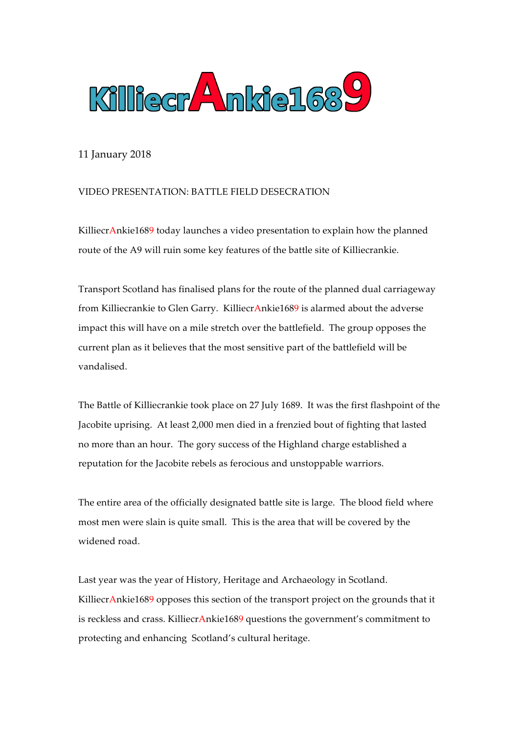

11 January 2018

## VIDEO PRESENTATION: BATTLE FIELD DESECRATION

KilliecrAnkie1689 today launches a video presentation to explain how the planned route of the A9 will ruin some key features of the battle site of Killiecrankie.

Transport Scotland has finalised plans for the route of the planned dual carriageway from Killiecrankie to Glen Garry. KilliecrAnkie1689 is alarmed about the adverse impact this will have on a mile stretch over the battlefield. The group opposes the current plan as it believes that the most sensitive part of the battlefield will be vandalised.

The Battle of Killiecrankie took place on 27 July 1689. It was the first flashpoint of the Jacobite uprising. At least 2,000 men died in a frenzied bout of fighting that lasted no more than an hour. The gory success of the Highland charge established a reputation for the Jacobite rebels as ferocious and unstoppable warriors.

The entire area of the officially designated battle site is large. The blood field where most men were slain is quite small. This is the area that will be covered by the widened road.

Last year was the year of History, Heritage and Archaeology in Scotland. KilliecrAnkie1689 opposes this section of the transport project on the grounds that it is reckless and crass. KilliecrAnkie1689 questions the government's commitment to protecting and enhancing Scotland's cultural heritage.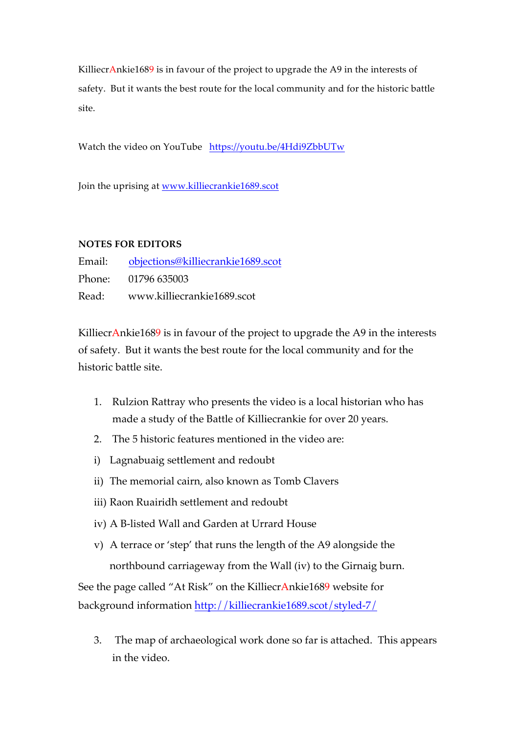KilliecrAnkie1689 is in favour of the project to upgrade the A9 in the interests of safety. But it wants the best route for the local community and for the historic battle site.

Watch the video on YouTube https://youtu.be/4Hdi9ZbbUTw

Join the uprising at www.killiecrankie1689.scot

## **NOTES FOR EDITORS**

Email: objections@killiecrankie1689.scot Phone: 01796 635003 Read: www.killiecrankie1689.scot

KilliecrAnkie1689 is in favour of the project to upgrade the A9 in the interests of safety. But it wants the best route for the local community and for the historic battle site.

- 1. Rulzion Rattray who presents the video is a local historian who has made a study of the Battle of Killiecrankie for over 20 years.
- 2. The 5 historic features mentioned in the video are:
- i) Lagnabuaig settlement and redoubt
- ii) The memorial cairn, also known as Tomb Clavers
- iii) Raon Ruairidh settlement and redoubt
- iv) A B-listed Wall and Garden at Urrard House
- v) A terrace or 'step' that runs the length of the A9 alongside the northbound carriageway from the Wall (iv) to the Girnaig burn.

See the page called "At Risk" on the KilliecrAnkie1689 website for background information http://killiecrankie1689.scot/styled-7/

3. The map of archaeological work done so far is attached. This appears in the video.